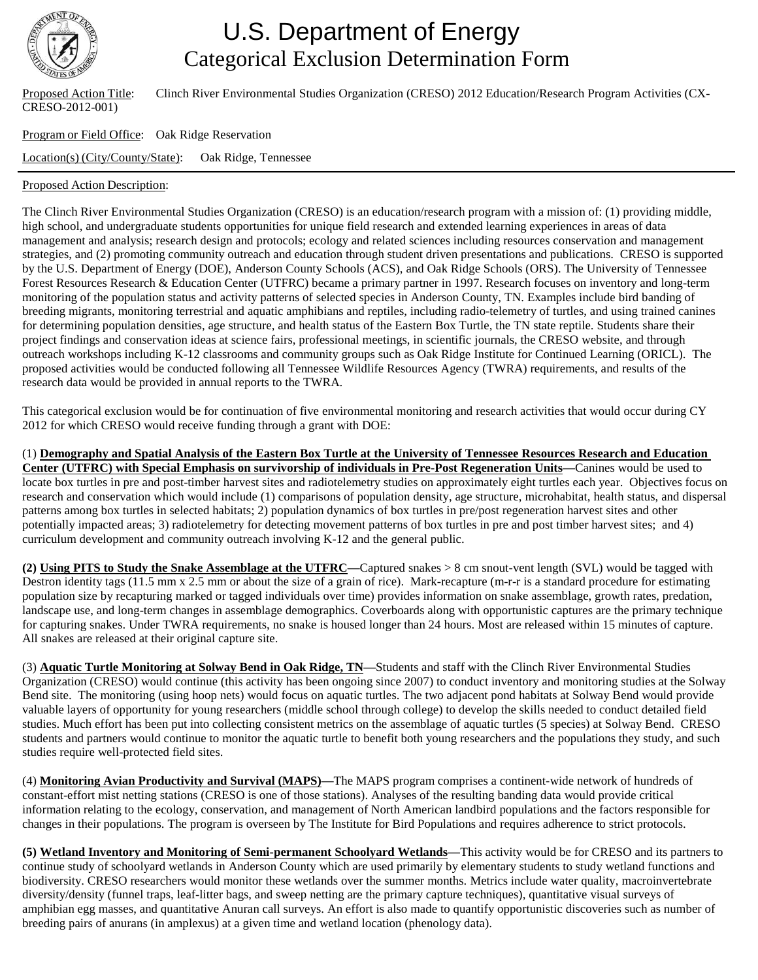

## U.S. Department of Energy Categorical Exclusion Determination Form

CRESO-2012-001)

Proposed Action Title: Clinch River Environmental Studies Organization (CRESO) 2012 Education/Research Program Activities (CX-

Program or Field Office: Oak Ridge Reservation Location(s) (City/County/State): Oak Ridge, Tennessee

## Proposed Action Description:

The Clinch River Environmental Studies Organization (CRESO) is an education/research program with a mission of: (1) providing middle, high school, and undergraduate students opportunities for unique field research and extended learning experiences in areas of data management and analysis; research design and protocols; ecology and related sciences including resources conservation and management strategies, and (2) promoting community outreach and education through student driven presentations and publications. CRESO is supported by the U.S. Department of Energy (DOE), Anderson County Schools (ACS), and Oak Ridge Schools (ORS). The University of Tennessee Forest Resources Research & Education Center (UTFRC) became a primary partner in 1997. Research focuses on inventory and long-term monitoring of the population status and activity patterns of selected species in Anderson County, TN. Examples include bird banding of breeding migrants, monitoring terrestrial and aquatic amphibians and reptiles, including radio-telemetry of turtles, and using trained canines for determining population densities, age structure, and health status of the Eastern Box Turtle, the TN state reptile. Students share their project findings and conservation ideas at science fairs, professional meetings, in scientific journals, the CRESO website, and through outreach workshops including K-12 classrooms and community groups such as Oak Ridge Institute for Continued Learning (ORICL). The proposed activities would be conducted following all Tennessee Wildlife Resources Agency (TWRA) requirements, and results of the research data would be provided in annual reports to the TWRA.

This categorical exclusion would be for continuation of five environmental monitoring and research activities that would occur during CY 2012 for which CRESO would receive funding through a grant with DOE:

(1) **Demography and Spatial Analysis of the Eastern Box Turtle at the University of Tennessee Resources Research and Education Center (UTFRC) with Special Emphasis on survivorship of individuals in Pre-Post Regeneration Units—**Canines would be used to locate box turtles in pre and post-timber harvest sites and radiotelemetry studies on approximately eight turtles each year. Objectives focus on research and conservation which would include (1) comparisons of population density, age structure, microhabitat, health status, and dispersal patterns among box turtles in selected habitats; 2) population dynamics of box turtles in pre/post regeneration harvest sites and other potentially impacted areas; 3) radiotelemetry for detecting movement patterns of box turtles in pre and post timber harvest sites; and 4) curriculum development and community outreach involving K-12 and the general public.

**(2) Using PITS to Study the Snake Assemblage at the UTFRC—**Captured snakes > 8 cm snout-vent length (SVL) would be tagged with Destron identity tags (11.5 mm x 2.5 mm or about the size of a grain of rice). Mark-recapture (m-r-r is a standard procedure for estimating population size by recapturing marked or tagged individuals over time) provides information on snake assemblage, growth rates, predation, landscape use, and long-term changes in assemblage demographics. Coverboards along with opportunistic captures are the primary technique for capturing snakes. Under TWRA requirements, no snake is housed longer than 24 hours. Most are released within 15 minutes of capture. All snakes are released at their original capture site.

(3) **Aquatic Turtle Monitoring at Solway Bend in Oak Ridge, TN—**Students and staff with the Clinch River Environmental Studies Organization (CRESO) would continue (this activity has been ongoing since 2007) to conduct inventory and monitoring studies at the Solway Bend site. The monitoring (using hoop nets) would focus on aquatic turtles. The two adjacent pond habitats at Solway Bend would provide valuable layers of opportunity for young researchers (middle school through college) to develop the skills needed to conduct detailed field studies. Much effort has been put into collecting consistent metrics on the assemblage of aquatic turtles (5 species) at Solway Bend. CRESO students and partners would continue to monitor the aquatic turtle to benefit both young researchers and the populations they study, and such studies require well-protected field sites.

(4) **Monitoring Avian Productivity and Survival (MAPS)—**The MAPS program comprises a continent-wide network of hundreds of constant-effort mist netting stations (CRESO is one of those stations). Analyses of the resulting banding data would provide critical information relating to the ecology, conservation, and management of North American landbird populations and the factors responsible for changes in their populations. The program is overseen by The Institute for Bird Populations and requires adherence to strict protocols.

**(5) Wetland Inventory and Monitoring of Semi-permanent Schoolyard Wetlands—**This activity would be for CRESO and its partners to continue study of schoolyard wetlands in Anderson County which are used primarily by elementary students to study wetland functions and biodiversity. CRESO researchers would monitor these wetlands over the summer months. Metrics include water quality, macroinvertebrate diversity/density (funnel traps, leaf-litter bags, and sweep netting are the primary capture techniques), quantitative visual surveys of amphibian egg masses, and quantitative Anuran call surveys. An effort is also made to quantify opportunistic discoveries such as number of breeding pairs of anurans (in amplexus) at a given time and wetland location (phenology data).